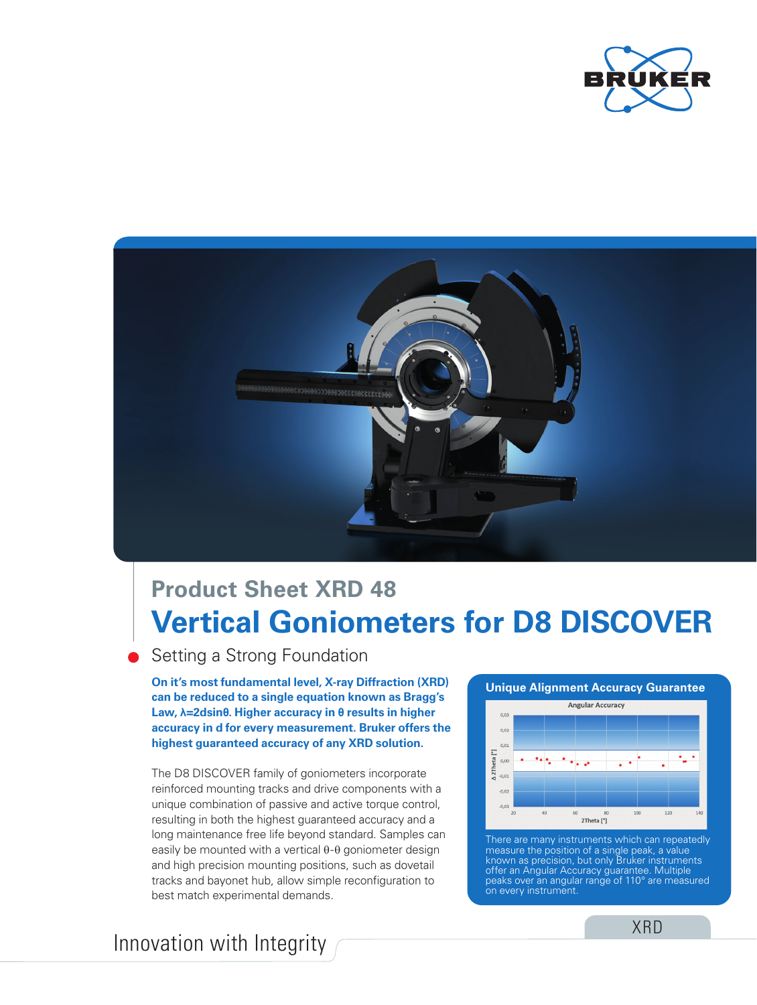



# **Vertical Goniometers for D8 DISCOVER Product Sheet XRD 48**

### Setting a Strong Foundation

**On it's most fundamental level, X-ray Diffraction (XRD) can be reduced to a single equation known as Bragg's Law, λ=2dsinθ. Higher accuracy in θ results in higher accuracy in d for every measurement. Bruker offers the highest guaranteed accuracy of any XRD solution.**

The D8 DISCOVER family of goniometers incorporate reinforced mounting tracks and drive components with a unique combination of passive and active torque control, resulting in both the highest guaranteed accuracy and a long maintenance free life beyond standard. Samples can easily be mounted with a vertical θ-θ goniometer design and high precision mounting positions, such as dovetail tracks and bayonet hub, allow simple reconfiguration to best match experimental demands.





There are many instruments which can repeatedly measure the position of a single peak, a value known as precision, but only Bruker instruments offer an Angular Accuracy guarantee. Multiple peaks over an angular range of 110° are measured on every instrument.

## Innovation with Integrity

XRD